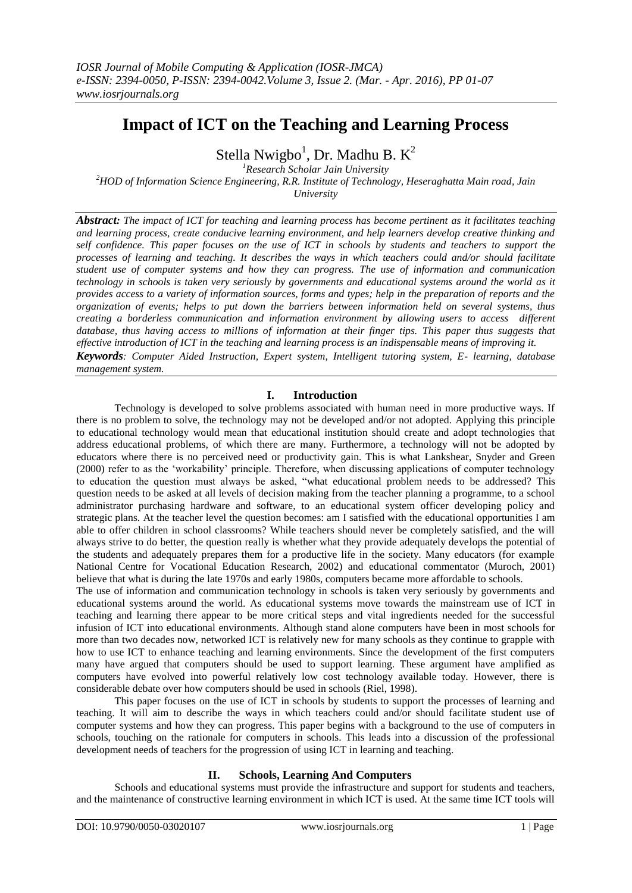# **Impact of ICT on the Teaching and Learning Process**

Stella Nwigbo<sup>1</sup>, Dr. Madhu B. K<sup>2</sup>

*<sup>1</sup>Research Scholar Jain University <sup>2</sup>HOD of Information Science Engineering, R.R. Institute of Technology, Heseraghatta Main road, Jain* 

*University*

*Abstract: The impact of ICT for teaching and learning process has become pertinent as it facilitates teaching and learning process, create conducive learning environment, and help learners develop creative thinking and self confidence. This paper focuses on the use of ICT in schools by students and teachers to support the processes of learning and teaching. It describes the ways in which teachers could and/or should facilitate student use of computer systems and how they can progress. The use of information and communication technology in schools is taken very seriously by governments and educational systems around the world as it provides access to a variety of information sources, forms and types; help in the preparation of reports and the organization of events; helps to put down the barriers between information held on several systems, thus creating a borderless communication and information environment by allowing users to access different database, thus having access to millions of information at their finger tips. This paper thus suggests that effective introduction of ICT in the teaching and learning process is an indispensable means of improving it. Keywords: Computer Aided Instruction, Expert system, Intelligent tutoring system, E- learning, database management system.*

# **I. Introduction**

Technology is developed to solve problems associated with human need in more productive ways. If there is no problem to solve, the technology may not be developed and/or not adopted. Applying this principle to educational technology would mean that educational institution should create and adopt technologies that address educational problems, of which there are many. Furthermore, a technology will not be adopted by educators where there is no perceived need or productivity gain. This is what Lankshear, Snyder and Green (2000) refer to as the "workability" principle. Therefore, when discussing applications of computer technology to education the question must always be asked, "what educational problem needs to be addressed? This question needs to be asked at all levels of decision making from the teacher planning a programme, to a school administrator purchasing hardware and software, to an educational system officer developing policy and strategic plans. At the teacher level the question becomes: am I satisfied with the educational opportunities I am able to offer children in school classrooms? While teachers should never be completely satisfied, and the will always strive to do better, the question really is whether what they provide adequately develops the potential of the students and adequately prepares them for a productive life in the society. Many educators (for example National Centre for Vocational Education Research, 2002) and educational commentator (Muroch, 2001) believe that what is during the late 1970s and early 1980s, computers became more affordable to schools.

The use of information and communication technology in schools is taken very seriously by governments and educational systems around the world. As educational systems move towards the mainstream use of ICT in teaching and learning there appear to be more critical steps and vital ingredients needed for the successful infusion of ICT into educational environments. Although stand alone computers have been in most schools for more than two decades now, networked ICT is relatively new for many schools as they continue to grapple with how to use ICT to enhance teaching and learning environments. Since the development of the first computers many have argued that computers should be used to support learning. These argument have amplified as computers have evolved into powerful relatively low cost technology available today. However, there is considerable debate over how computers should be used in schools (Riel, 1998).

This paper focuses on the use of ICT in schools by students to support the processes of learning and teaching. It will aim to describe the ways in which teachers could and/or should facilitate student use of computer systems and how they can progress. This paper begins with a background to the use of computers in schools, touching on the rationale for computers in schools. This leads into a discussion of the professional development needs of teachers for the progression of using ICT in learning and teaching.

# **II. Schools, Learning And Computers**

Schools and educational systems must provide the infrastructure and support for students and teachers, and the maintenance of constructive learning environment in which ICT is used. At the same time ICT tools will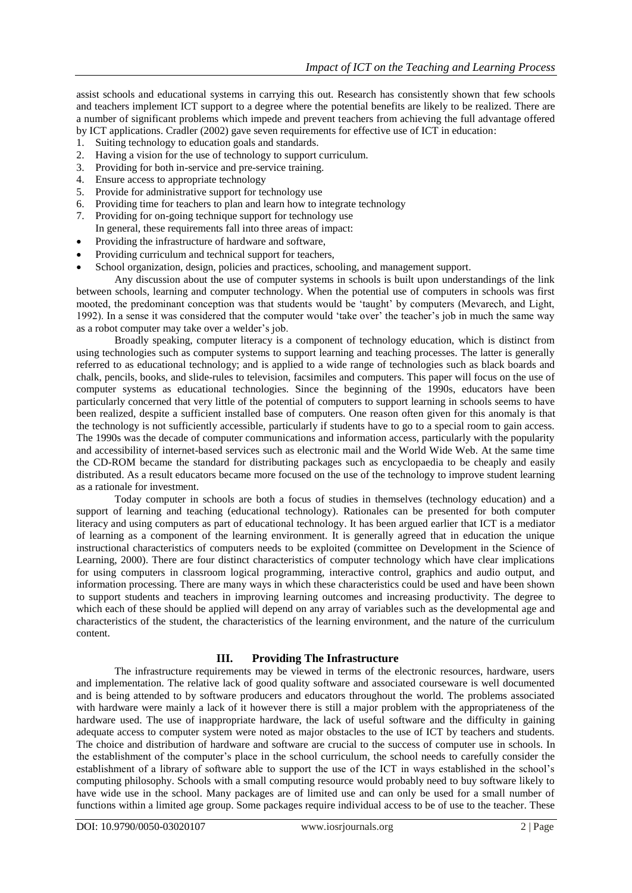assist schools and educational systems in carrying this out. Research has consistently shown that few schools and teachers implement ICT support to a degree where the potential benefits are likely to be realized. There are a number of significant problems which impede and prevent teachers from achieving the full advantage offered by ICT applications. Cradler (2002) gave seven requirements for effective use of ICT in education:

- 1. Suiting technology to education goals and standards.
- 2. Having a vision for the use of technology to support curriculum.
- 3. Providing for both in-service and pre-service training.
- 4. Ensure access to appropriate technology
- 5. Provide for administrative support for technology use
- 6. Providing time for teachers to plan and learn how to integrate technology
- 7. Providing for on-going technique support for technology use In general, these requirements fall into three areas of impact:
- Providing the infrastructure of hardware and software,
- Providing curriculum and technical support for teachers,
- School organization, design, policies and practices, schooling, and management support.

Any discussion about the use of computer systems in schools is built upon understandings of the link between schools, learning and computer technology. When the potential use of computers in schools was first mooted, the predominant conception was that students would be "taught" by computers (Mevarech, and Light, 1992). In a sense it was considered that the computer would "take over" the teacher"s job in much the same way as a robot computer may take over a welder"s job.

Broadly speaking, computer literacy is a component of technology education, which is distinct from using technologies such as computer systems to support learning and teaching processes. The latter is generally referred to as educational technology; and is applied to a wide range of technologies such as black boards and chalk, pencils, books, and slide-rules to television, facsimiles and computers. This paper will focus on the use of computer systems as educational technologies. Since the beginning of the 1990s, educators have been particularly concerned that very little of the potential of computers to support learning in schools seems to have been realized, despite a sufficient installed base of computers. One reason often given for this anomaly is that the technology is not sufficiently accessible, particularly if students have to go to a special room to gain access. The 1990s was the decade of computer communications and information access, particularly with the popularity and accessibility of internet-based services such as electronic mail and the World Wide Web. At the same time the CD-ROM became the standard for distributing packages such as encyclopaedia to be cheaply and easily distributed. As a result educators became more focused on the use of the technology to improve student learning as a rationale for investment.

Today computer in schools are both a focus of studies in themselves (technology education) and a support of learning and teaching (educational technology). Rationales can be presented for both computer literacy and using computers as part of educational technology. It has been argued earlier that ICT is a mediator of learning as a component of the learning environment. It is generally agreed that in education the unique instructional characteristics of computers needs to be exploited (committee on Development in the Science of Learning, 2000). There are four distinct characteristics of computer technology which have clear implications for using computers in classroom logical programming, interactive control, graphics and audio output, and information processing. There are many ways in which these characteristics could be used and have been shown to support students and teachers in improving learning outcomes and increasing productivity. The degree to which each of these should be applied will depend on any array of variables such as the developmental age and characteristics of the student, the characteristics of the learning environment, and the nature of the curriculum content.

# **III. Providing The Infrastructure**

The infrastructure requirements may be viewed in terms of the electronic resources, hardware, users and implementation. The relative lack of good quality software and associated courseware is well documented and is being attended to by software producers and educators throughout the world. The problems associated with hardware were mainly a lack of it however there is still a major problem with the appropriateness of the hardware used. The use of inappropriate hardware, the lack of useful software and the difficulty in gaining adequate access to computer system were noted as major obstacles to the use of ICT by teachers and students. The choice and distribution of hardware and software are crucial to the success of computer use in schools. In the establishment of the computer"s place in the school curriculum, the school needs to carefully consider the establishment of a library of software able to support the use of the ICT in ways established in the school"s computing philosophy. Schools with a small computing resource would probably need to buy software likely to have wide use in the school. Many packages are of limited use and can only be used for a small number of functions within a limited age group. Some packages require individual access to be of use to the teacher. These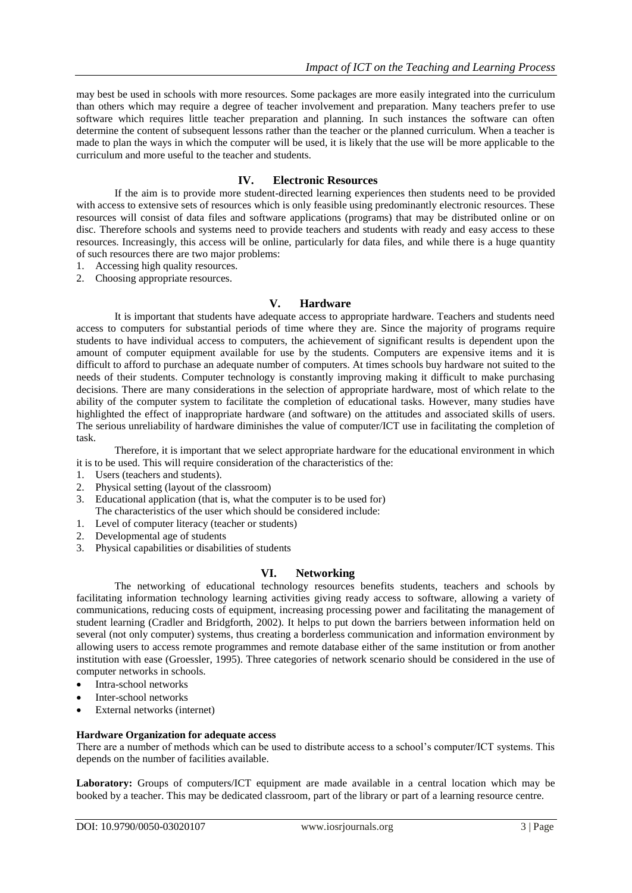may best be used in schools with more resources. Some packages are more easily integrated into the curriculum than others which may require a degree of teacher involvement and preparation. Many teachers prefer to use software which requires little teacher preparation and planning. In such instances the software can often determine the content of subsequent lessons rather than the teacher or the planned curriculum. When a teacher is made to plan the ways in which the computer will be used, it is likely that the use will be more applicable to the curriculum and more useful to the teacher and students.

# **IV. Electronic Resources**

If the aim is to provide more student-directed learning experiences then students need to be provided with access to extensive sets of resources which is only feasible using predominantly electronic resources. These resources will consist of data files and software applications (programs) that may be distributed online or on disc. Therefore schools and systems need to provide teachers and students with ready and easy access to these resources. Increasingly, this access will be online, particularly for data files, and while there is a huge quantity of such resources there are two major problems:

- 1. Accessing high quality resources.
- 2. Choosing appropriate resources.

# **V. Hardware**

It is important that students have adequate access to appropriate hardware. Teachers and students need access to computers for substantial periods of time where they are. Since the majority of programs require students to have individual access to computers, the achievement of significant results is dependent upon the amount of computer equipment available for use by the students. Computers are expensive items and it is difficult to afford to purchase an adequate number of computers. At times schools buy hardware not suited to the needs of their students. Computer technology is constantly improving making it difficult to make purchasing decisions. There are many considerations in the selection of appropriate hardware, most of which relate to the ability of the computer system to facilitate the completion of educational tasks. However, many studies have highlighted the effect of inappropriate hardware (and software) on the attitudes and associated skills of users. The serious unreliability of hardware diminishes the value of computer/ICT use in facilitating the completion of task.

Therefore, it is important that we select appropriate hardware for the educational environment in which it is to be used. This will require consideration of the characteristics of the:

- 1. Users (teachers and students).
- 2. Physical setting (layout of the classroom)
- 3. Educational application (that is, what the computer is to be used for) The characteristics of the user which should be considered include:
- 1. Level of computer literacy (teacher or students)
- 2. Developmental age of students
- 3. Physical capabilities or disabilities of students

#### **VI. Networking**

The networking of educational technology resources benefits students, teachers and schools by facilitating information technology learning activities giving ready access to software, allowing a variety of communications, reducing costs of equipment, increasing processing power and facilitating the management of student learning (Cradler and Bridgforth, 2002). It helps to put down the barriers between information held on several (not only computer) systems, thus creating a borderless communication and information environment by allowing users to access remote programmes and remote database either of the same institution or from another institution with ease (Groessler, 1995). Three categories of network scenario should be considered in the use of computer networks in schools.

- Intra-school networks
- Inter-school networks
- External networks (internet)

#### **Hardware Organization for adequate access**

There are a number of methods which can be used to distribute access to a school"s computer/ICT systems. This depends on the number of facilities available.

**Laboratory:** Groups of computers/ICT equipment are made available in a central location which may be booked by a teacher. This may be dedicated classroom, part of the library or part of a learning resource centre.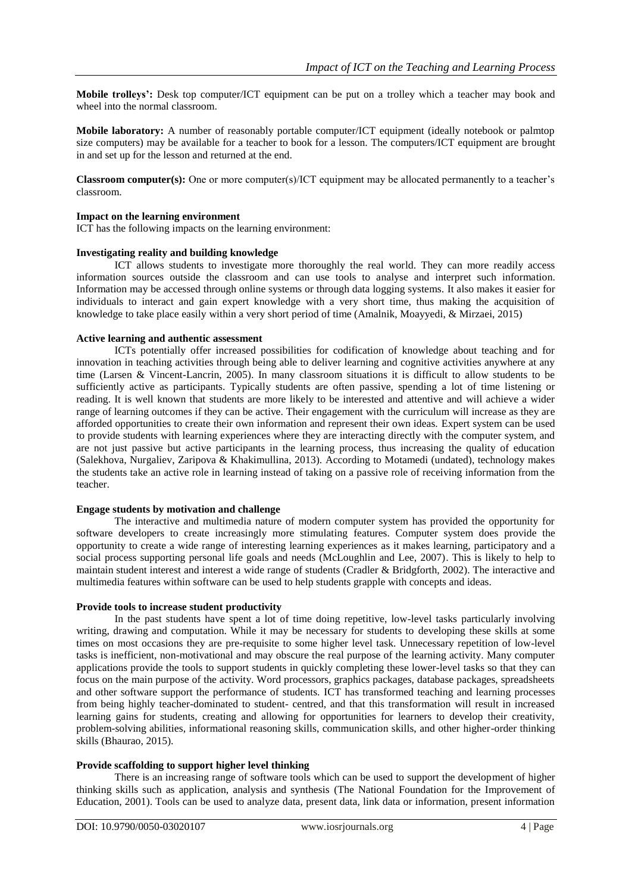**Mobile trolleys':** Desk top computer/ICT equipment can be put on a trolley which a teacher may book and wheel into the normal classroom.

**Mobile laboratory:** A number of reasonably portable computer/ICT equipment (ideally notebook or palmtop size computers) may be available for a teacher to book for a lesson. The computers/ICT equipment are brought in and set up for the lesson and returned at the end.

**Classroom computer(s):** One or more computer(s)/ICT equipment may be allocated permanently to a teacher"s classroom.

#### **Impact on the learning environment**

ICT has the following impacts on the learning environment:

# **Investigating reality and building knowledge**

ICT allows students to investigate more thoroughly the real world. They can more readily access information sources outside the classroom and can use tools to analyse and interpret such information. Information may be accessed through online systems or through data logging systems. It also makes it easier for individuals to interact and gain expert knowledge with a very short time, thus making the acquisition of knowledge to take place easily within a very short period of time (Amalnik, Moayyedi, & Mirzaei, 2015)

#### **Active learning and authentic assessment**

ICTs potentially offer increased possibilities for codification of knowledge about teaching and for innovation in teaching activities through being able to deliver learning and cognitive activities anywhere at any time (Larsen & Vincent-Lancrin, 2005). In many classroom situations it is difficult to allow students to be sufficiently active as participants. Typically students are often passive, spending a lot of time listening or reading. It is well known that students are more likely to be interested and attentive and will achieve a wider range of learning outcomes if they can be active. Their engagement with the curriculum will increase as they are afforded opportunities to create their own information and represent their own ideas. Expert system can be used to provide students with learning experiences where they are interacting directly with the computer system, and are not just passive but active participants in the learning process, thus increasing the quality of education (Salekhova, Nurgaliev, Zaripova & Khakimullina, 2013). According to Motamedi (undated), technology makes the students take an active role in learning instead of taking on a passive role of receiving information from the teacher.

## **Engage students by motivation and challenge**

The interactive and multimedia nature of modern computer system has provided the opportunity for software developers to create increasingly more stimulating features. Computer system does provide the opportunity to create a wide range of interesting learning experiences as it makes learning, participatory and a social process supporting personal life goals and needs (McLoughlin and Lee, 2007). This is likely to help to maintain student interest and interest a wide range of students (Cradler & Bridgforth, 2002). The interactive and multimedia features within software can be used to help students grapple with concepts and ideas.

#### **Provide tools to increase student productivity**

In the past students have spent a lot of time doing repetitive, low-level tasks particularly involving writing, drawing and computation. While it may be necessary for students to developing these skills at some times on most occasions they are pre-requisite to some higher level task. Unnecessary repetition of low-level tasks is inefficient, non-motivational and may obscure the real purpose of the learning activity. Many computer applications provide the tools to support students in quickly completing these lower-level tasks so that they can focus on the main purpose of the activity. Word processors, graphics packages, database packages, spreadsheets and other software support the performance of students. ICT has transformed teaching and learning processes from being highly teacher-dominated to student- centred, and that this transformation will result in increased learning gains for students, creating and allowing for opportunities for learners to develop their creativity, problem-solving abilities, informational reasoning skills, communication skills, and other higher-order thinking skills (Bhaurao, 2015).

#### **Provide scaffolding to support higher level thinking**

There is an increasing range of software tools which can be used to support the development of higher thinking skills such as application, analysis and synthesis (The National Foundation for the Improvement of Education, 2001). Tools can be used to analyze data, present data, link data or information, present information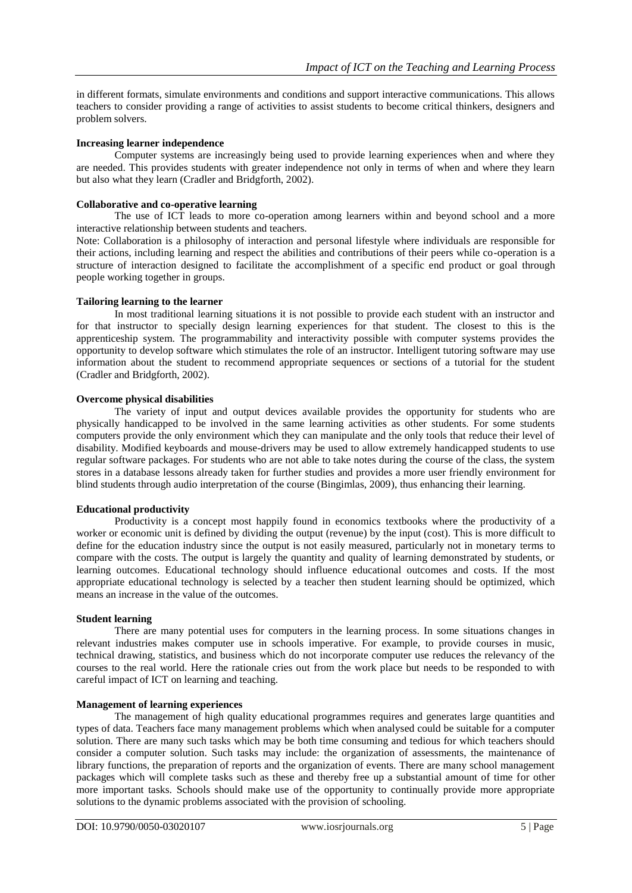in different formats, simulate environments and conditions and support interactive communications. This allows teachers to consider providing a range of activities to assist students to become critical thinkers, designers and problem solvers.

## **Increasing learner independence**

Computer systems are increasingly being used to provide learning experiences when and where they are needed. This provides students with greater independence not only in terms of when and where they learn but also what they learn (Cradler and Bridgforth, 2002).

## **Collaborative and co-operative learning**

The use of ICT leads to more co-operation among learners within and beyond school and a more interactive relationship between students and teachers.

Note: Collaboration is a philosophy of interaction and personal lifestyle where individuals are responsible for their actions, including learning and respect the abilities and contributions of their peers while co-operation is a structure of interaction designed to facilitate the accomplishment of a specific end product or goal through people working together in groups.

# **Tailoring learning to the learner**

In most traditional learning situations it is not possible to provide each student with an instructor and for that instructor to specially design learning experiences for that student. The closest to this is the apprenticeship system. The programmability and interactivity possible with computer systems provides the opportunity to develop software which stimulates the role of an instructor. Intelligent tutoring software may use information about the student to recommend appropriate sequences or sections of a tutorial for the student (Cradler and Bridgforth, 2002).

# **Overcome physical disabilities**

The variety of input and output devices available provides the opportunity for students who are physically handicapped to be involved in the same learning activities as other students. For some students computers provide the only environment which they can manipulate and the only tools that reduce their level of disability. Modified keyboards and mouse-drivers may be used to allow extremely handicapped students to use regular software packages. For students who are not able to take notes during the course of the class, the system stores in a database lessons already taken for further studies and provides a more user friendly environment for blind students through audio interpretation of the course (Bingimlas, 2009), thus enhancing their learning.

## **Educational productivity**

Productivity is a concept most happily found in economics textbooks where the productivity of a worker or economic unit is defined by dividing the output (revenue) by the input (cost). This is more difficult to define for the education industry since the output is not easily measured, particularly not in monetary terms to compare with the costs. The output is largely the quantity and quality of learning demonstrated by students, or learning outcomes. Educational technology should influence educational outcomes and costs. If the most appropriate educational technology is selected by a teacher then student learning should be optimized, which means an increase in the value of the outcomes.

#### **Student learning**

There are many potential uses for computers in the learning process. In some situations changes in relevant industries makes computer use in schools imperative. For example, to provide courses in music, technical drawing, statistics, and business which do not incorporate computer use reduces the relevancy of the courses to the real world. Here the rationale cries out from the work place but needs to be responded to with careful impact of ICT on learning and teaching.

# **Management of learning experiences**

The management of high quality educational programmes requires and generates large quantities and types of data. Teachers face many management problems which when analysed could be suitable for a computer solution. There are many such tasks which may be both time consuming and tedious for which teachers should consider a computer solution. Such tasks may include: the organization of assessments, the maintenance of library functions, the preparation of reports and the organization of events. There are many school management packages which will complete tasks such as these and thereby free up a substantial amount of time for other more important tasks. Schools should make use of the opportunity to continually provide more appropriate solutions to the dynamic problems associated with the provision of schooling.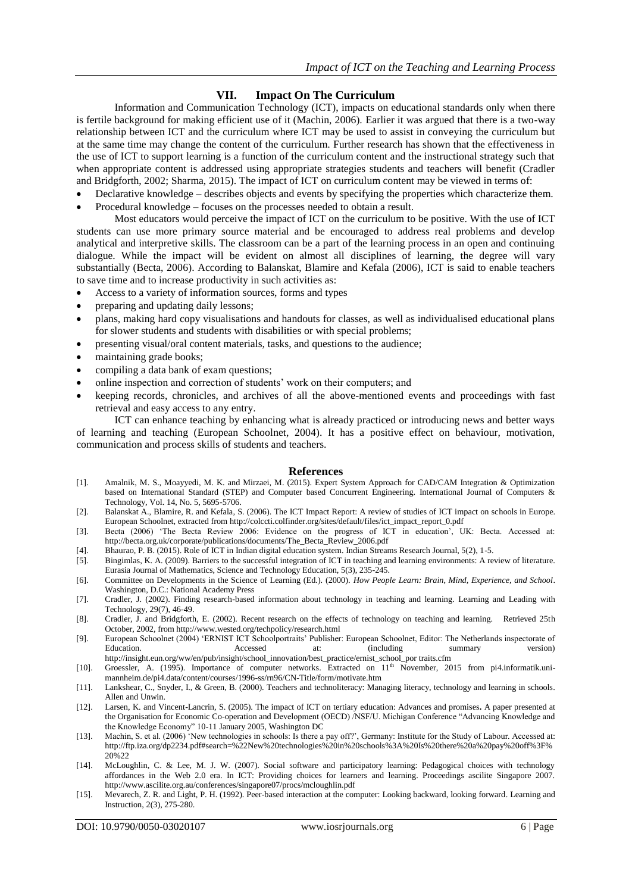# **VII. Impact On The Curriculum**

Information and Communication Technology (ICT), impacts on educational standards only when there is fertile background for making efficient use of it (Machin, 2006). Earlier it was argued that there is a two-way relationship between ICT and the curriculum where ICT may be used to assist in conveying the curriculum but at the same time may change the content of the curriculum. Further research has shown that the effectiveness in the use of ICT to support learning is a function of the curriculum content and the instructional strategy such that when appropriate content is addressed using appropriate strategies students and teachers will benefit (Cradler and Bridgforth, 2002; Sharma, 2015). The impact of ICT on curriculum content may be viewed in terms of:

- Declarative knowledge describes objects and events by specifying the properties which characterize them.
- Procedural knowledge focuses on the processes needed to obtain a result.

Most educators would perceive the impact of ICT on the curriculum to be positive. With the use of ICT students can use more primary source material and be encouraged to address real problems and develop analytical and interpretive skills. The classroom can be a part of the learning process in an open and continuing dialogue. While the impact will be evident on almost all disciplines of learning, the degree will vary substantially (Becta, 2006). According to Balanskat, Blamire and Kefala (2006), ICT is said to enable teachers to save time and to increase productivity in such activities as:

- Access to a variety of information sources, forms and types
- preparing and updating daily lessons;
- plans, making hard copy visualisations and handouts for classes, as well as individualised educational plans for slower students and students with disabilities or with special problems;
- presenting visual/oral content materials, tasks, and questions to the audience;
- maintaining grade books;
- compiling a data bank of exam questions;
- online inspection and correction of students" work on their computers; and
- keeping records, chronicles, and archives of all the above-mentioned events and proceedings with fast retrieval and easy access to any entry.

ICT can enhance teaching by enhancing what is already practiced or introducing news and better ways of learning and teaching (European Schoolnet, 2004). It has a positive effect on behaviour, motivation, communication and process skills of students and teachers.

#### **References**

- [1]. Amalnik, M. S., Moayyedi, M. K. and Mirzaei, M. (2015). Expert System Approach for CAD/CAM Integration & Optimization based on International Standard (STEP) and Computer based Concurrent Engineering. International Journal of Computers & Technology, Vol. 14, No. 5, 5695-5706.
- [2]. Balanskat A., Blamire, R. and Kefala, S. (2006). The ICT Impact Report: A review of studies of ICT impact on schools in Europe. European Schoolnet, extracted fro[m http://colccti.colfinder.org/sites/default/files/ict\\_impact\\_report\\_0.pdf](http://colccti.colfinder.org/sites/default/files/ict_impact_report_0.pdf)
- [3]. Becta (2006) "The Becta Review 2006: Evidence on the progress of ICT in education", UK: Becta. Accessed at: [http://becta.org.uk/corporate/publications/documents/The\\_Becta\\_Review\\_2006.pdf](http://becta.org.uk/corporate/publications/documents/The_Becta_Review_2006.pdf)
- [4]. Bhaurao, P. B. (2015). Role of ICT in Indian digital education system. Indian Streams Research Journal, 5(2), 1-5.
- [5]. Bingimlas, K. A. (2009). Barriers to the successful integration of ICT in teaching and learning environments: A review of literature. Eurasia Journal of Mathematics, Science and Technology Education, 5(3), 235-245.
- [6]. Committee on Developments in the Science of Learning (Ed.). (2000). *How People Learn: Brain, Mind, Experience, and School*. Washington, D.C.: National Academy Press
- [7]. Cradler, J. (2002). Finding research-based information about technology in teaching and learning. Learning and Leading with Technology, 29(7), 46-49.
- [8]. Cradler, J. and Bridgforth, E. (2002). Recent research on the effects of technology on teaching and learning. Retrieved 25th October, 2002, fro[m http://www.wested.org/techpolicy/research.html](http://www.wested.org/techpolicy/research.html)
- [9]. European Schoolnet (2004) "ERNIST ICT Schoolportraits" Publisher: European Schoolnet, Editor: The Netherlands inspectorate of Education. **Accessed** at: (including summary version) [http://insight.eun.org/ww/en/pub/insight/school\\_innovation/best\\_practice/ernist\\_school\\_por traits.cfm](http://insight.eun.org/ww/en/pub/insight/school_innovation/best_practice/ernist_school_por%20traits.cfm)
- [10]. Groessler, A. (1995). Importance of computer networks. Extracted on  $11<sup>th</sup>$  November, 2015 from pi4.informatik.unimannheim.de/pi4.data/content/courses/1996-ss/rn96/CN-Title/form/motivate.htm
- [11]. Lankshear, C., Snyder, I., & Green, B. (2000). Teachers and technoliteracy: Managing literacy, technology and learning in schools. Allen and Unwin.
- [12]. Larsen, K. and Vincent-Lancrin, S. (2005). The impact of ICT on tertiary education: Advances and promises**.** A paper presented at the Organisation for Economic Co-operation and Development (OECD) /NSF/U. Michigan Conference "Advancing Knowledge and the Knowledge Economy" 10-11 January 2005, Washington DC
- [13]. Machin, S. et al. (2006) "New technologies in schools: Is there a pay off?", Germany: Institute for the Study of Labour. Accessed at: [http://ftp.iza.org/dp2234.pdf#search=%22New%20technologies%20in%20schools%3A%20Is%20there%20a%20pay%20off%3F%](http://ftp.iza.org/dp2234.pdf#search=%22New%20technologies%20in%20schools%3A%20Is%20there%20a%20pay%20off%3F%20%22) [20%22](http://ftp.iza.org/dp2234.pdf#search=%22New%20technologies%20in%20schools%3A%20Is%20there%20a%20pay%20off%3F%20%22)
- [14]. McLoughlin, C. & Lee, M. J. W. (2007). Social software and participatory learning: Pedagogical choices with technology affordances in the Web 2.0 era. In ICT: Providing choices for learners and learning. Proceedings ascilite Singapore 2007. <http://www.ascilite.org.au/conferences/singapore07/procs/mcloughlin.pdf>
- [15]. Mevarech, Z. R. and Light, P. H. (1992). Peer-based interaction at the computer: Looking backward, looking forward. Learning and Instruction, 2(3), 275-280.